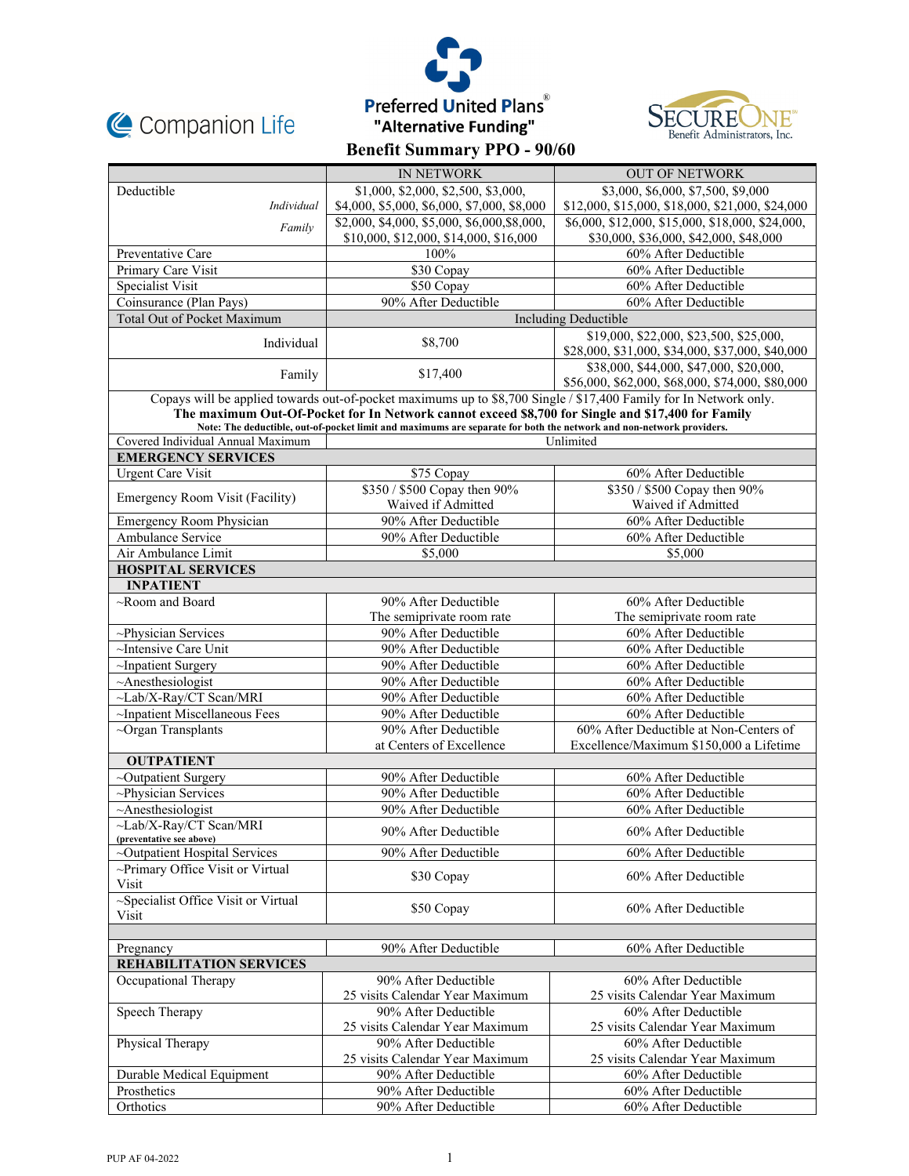





|                                                                                                                   | IN NETWORK                                                                                                          | <b>OUT OF NETWORK</b>                                                                       |  |  |
|-------------------------------------------------------------------------------------------------------------------|---------------------------------------------------------------------------------------------------------------------|---------------------------------------------------------------------------------------------|--|--|
| Deductible                                                                                                        | \$1,000, \$2,000, \$2,500, \$3,000,                                                                                 | \$3,000, \$6,000, \$7,500, \$9,000                                                          |  |  |
| Individual                                                                                                        | \$4,000, \$5,000, \$6,000, \$7,000, \$8,000                                                                         | \$12,000, \$15,000, \$18,000, \$21,000, \$24,000                                            |  |  |
| Family                                                                                                            | \$2,000, \$4,000, \$5,000, \$6,000, \$8,000,                                                                        | \$6,000, \$12,000, \$15,000, \$18,000, \$24,000,                                            |  |  |
|                                                                                                                   | \$10,000, \$12,000, \$14,000, \$16,000                                                                              | \$30,000, \$36,000, \$42,000, \$48,000                                                      |  |  |
| Preventative Care                                                                                                 | 100%                                                                                                                | 60% After Deductible                                                                        |  |  |
| Primary Care Visit                                                                                                | \$30 Copay                                                                                                          | 60% After Deductible                                                                        |  |  |
| Specialist Visit                                                                                                  | \$50 Copay                                                                                                          | 60% After Deductible                                                                        |  |  |
| Coinsurance (Plan Pays)                                                                                           | 90% After Deductible                                                                                                | $\overline{60\%}$ After Deductible                                                          |  |  |
| Total Out of Pocket Maximum                                                                                       |                                                                                                                     | <b>Including Deductible</b>                                                                 |  |  |
| Individual                                                                                                        | \$8,700                                                                                                             | \$19,000, \$22,000, \$23,500, \$25,000,<br>\$28,000, \$31,000, \$34,000, \$37,000, \$40,000 |  |  |
| Family                                                                                                            | \$17,400                                                                                                            | \$38,000, \$44,000, \$47,000, \$20,000,<br>\$56,000, \$62,000, \$68,000, \$74,000, \$80,000 |  |  |
| Copays will be applied towards out-of-pocket maximums up to \$8,700 Single / \$17,400 Family for In Network only. |                                                                                                                     |                                                                                             |  |  |
|                                                                                                                   | The maximum Out-Of-Pocket for In Network cannot exceed \$8,700 for Single and \$17,400 for Family                   |                                                                                             |  |  |
|                                                                                                                   | Note: The deductible, out-of-pocket limit and maximums are separate for both the network and non-network providers. |                                                                                             |  |  |
| Covered Individual Annual Maximum<br>Unlimited<br><b>EMERGENCY SERVICES</b>                                       |                                                                                                                     |                                                                                             |  |  |
| <b>Urgent Care Visit</b>                                                                                          | \$75 Copay                                                                                                          | 60% After Deductible                                                                        |  |  |
|                                                                                                                   | \$350 / \$500 Copay then 90%                                                                                        | \$350 / \$500 Copay then 90%                                                                |  |  |
| Emergency Room Visit (Facility)                                                                                   | Waived if Admitted                                                                                                  | Waived if Admitted                                                                          |  |  |
| Emergency Room Physician                                                                                          | 90% After Deductible                                                                                                | 60% After Deductible                                                                        |  |  |
| <b>Ambulance Service</b>                                                                                          | 90% After Deductible                                                                                                | 60% After Deductible                                                                        |  |  |
| Air Ambulance Limit                                                                                               | \$5,000                                                                                                             | \$5,000                                                                                     |  |  |
| <b>HOSPITAL SERVICES</b>                                                                                          |                                                                                                                     |                                                                                             |  |  |
| <b>INPATIENT</b>                                                                                                  |                                                                                                                     |                                                                                             |  |  |
| $\sim$ Room and Board                                                                                             | 90% After Deductible                                                                                                | 60% After Deductible                                                                        |  |  |
|                                                                                                                   | The semiprivate room rate                                                                                           | The semiprivate room rate                                                                   |  |  |
| ~Physician Services                                                                                               | 90% After Deductible                                                                                                | 60% After Deductible                                                                        |  |  |
| ~Intensive Care Unit                                                                                              | 90% After Deductible                                                                                                | 60% After Deductible                                                                        |  |  |
| ~Inpatient Surgery                                                                                                | 90% After Deductible                                                                                                | 60% After Deductible                                                                        |  |  |
| $~\sim$ Anesthesiologist                                                                                          | 90% After Deductible                                                                                                | 60% After Deductible                                                                        |  |  |
| ~Lab/X-Ray/CT Scan/MRI                                                                                            | 90% After Deductible                                                                                                | 60% After Deductible                                                                        |  |  |
| ~Inpatient Miscellaneous Fees                                                                                     | 90% After Deductible                                                                                                | 60% After Deductible                                                                        |  |  |
| $\sim$ Organ Transplants                                                                                          | 90% After Deductible                                                                                                | 60% After Deductible at Non-Centers of                                                      |  |  |
|                                                                                                                   | at Centers of Excellence                                                                                            | Excellence/Maximum \$150,000 a Lifetime                                                     |  |  |
| <b>OUTPATIENT</b>                                                                                                 |                                                                                                                     |                                                                                             |  |  |
| ~Outpatient Surgery                                                                                               | 90% After Deductible                                                                                                | 60% After Deductible                                                                        |  |  |
| ~Physician Services                                                                                               | 90% After Deductible                                                                                                | $\overline{60\%}$ After Deductible                                                          |  |  |
| $~\sim$ Anesthesiologist                                                                                          | 90% After Deductible                                                                                                | 60% After Deductible                                                                        |  |  |
| $\sim$ Lab/X-Rav/CT Scan/MRI<br>(preventative see above)                                                          | 90% After Deductible                                                                                                | 60% After Deductible                                                                        |  |  |
| ~Outpatient Hospital Services                                                                                     | 90% After Deductible                                                                                                | 60% After Deductible                                                                        |  |  |
| ~Primary Office Visit or Virtual<br>Visit                                                                         | \$30 Copay                                                                                                          | 60% After Deductible                                                                        |  |  |
| ~Specialist Office Visit or Virtual<br>Visit                                                                      | \$50 Copay                                                                                                          | 60% After Deductible                                                                        |  |  |
|                                                                                                                   |                                                                                                                     |                                                                                             |  |  |
| Pregnancy                                                                                                         | 90% After Deductible                                                                                                | 60% After Deductible                                                                        |  |  |
| <b>REHABILITATION SERVICES</b>                                                                                    |                                                                                                                     |                                                                                             |  |  |
| Occupational Therapy                                                                                              | 90% After Deductible                                                                                                | 60% After Deductible                                                                        |  |  |
|                                                                                                                   | 25 visits Calendar Year Maximum                                                                                     | 25 visits Calendar Year Maximum                                                             |  |  |
| Speech Therapy                                                                                                    | 90% After Deductible                                                                                                | 60% After Deductible                                                                        |  |  |
|                                                                                                                   | 25 visits Calendar Year Maximum                                                                                     | 25 visits Calendar Year Maximum                                                             |  |  |
| Physical Therapy                                                                                                  | 90% After Deductible                                                                                                | 60% After Deductible                                                                        |  |  |
|                                                                                                                   | 25 visits Calendar Year Maximum                                                                                     | 25 visits Calendar Year Maximum                                                             |  |  |
| Durable Medical Equipment                                                                                         | 90% After Deductible                                                                                                | 60% After Deductible                                                                        |  |  |
| Prosthetics                                                                                                       | 90% After Deductible                                                                                                | 60% After Deductible                                                                        |  |  |
| Orthotics                                                                                                         | 90% After Deductible                                                                                                | 60% After Deductible                                                                        |  |  |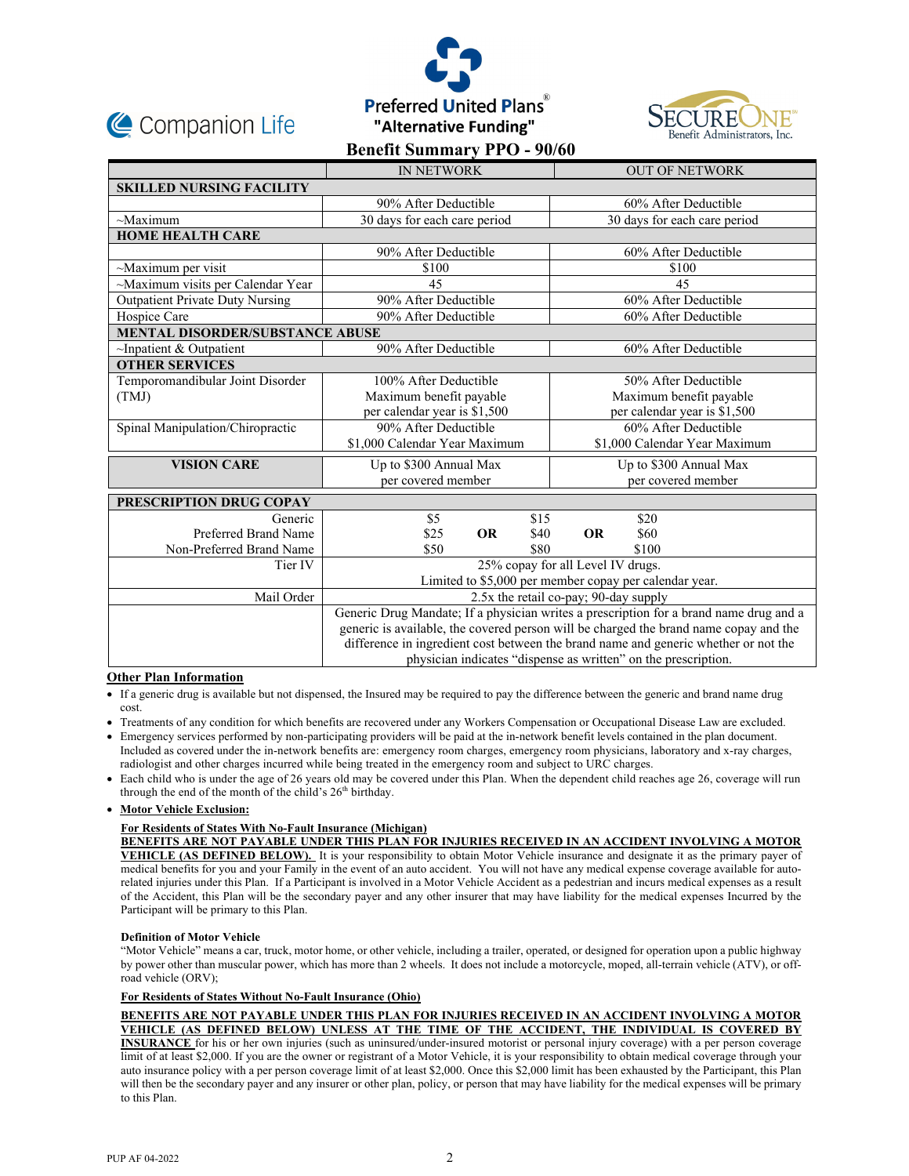





|                                        | <b>IN NETWORK</b>                                                                      |      | <b>OUT OF NETWORK</b>         |  |
|----------------------------------------|----------------------------------------------------------------------------------------|------|-------------------------------|--|
| <b>SKILLED NURSING FACILITY</b>        |                                                                                        |      |                               |  |
|                                        | 90% After Deductible                                                                   |      | 60% After Deductible          |  |
| $-Maximum$                             | 30 days for each care period                                                           |      | 30 days for each care period  |  |
| <b>HOME HEALTH CARE</b>                |                                                                                        |      |                               |  |
|                                        | 90% After Deductible                                                                   |      | 60% After Deductible          |  |
| $\sim$ Maximum per visit               | \$100                                                                                  |      | \$100                         |  |
| ~Maximum visits per Calendar Year      | 45                                                                                     |      | 45                            |  |
| <b>Outpatient Private Duty Nursing</b> | 90% After Deductible                                                                   |      | 60% After Deductible          |  |
| Hospice Care                           | 90% After Deductible                                                                   |      | 60% After Deductible          |  |
| <b>MENTAL DISORDER/SUBSTANCE ABUSE</b> |                                                                                        |      |                               |  |
| $\sim$ Inpatient & Outpatient          | 90% After Deductible                                                                   |      | 60% After Deductible          |  |
| <b>OTHER SERVICES</b>                  |                                                                                        |      |                               |  |
| Temporomandibular Joint Disorder       | 100% After Deductible                                                                  |      | 50% After Deductible          |  |
| (TMJ)                                  | Maximum benefit payable                                                                |      | Maximum benefit payable       |  |
|                                        | per calendar year is \$1,500                                                           |      | per calendar year is \$1,500  |  |
| Spinal Manipulation/Chiropractic       | 90% After Deductible                                                                   |      | 60% After Deductible          |  |
|                                        | \$1,000 Calendar Year Maximum                                                          |      | \$1,000 Calendar Year Maximum |  |
| <b>VISION CARE</b>                     | Up to \$300 Annual Max                                                                 |      | Up to \$300 Annual Max        |  |
|                                        | per covered member                                                                     |      | per covered member            |  |
| PRESCRIPTION DRUG COPAY                |                                                                                        |      |                               |  |
| Generic                                | \$5                                                                                    | \$15 | \$20                          |  |
| Preferred Brand Name                   | <b>OR</b><br>\$25                                                                      | \$40 | <b>OR</b><br>\$60             |  |
| Non-Preferred Brand Name               | \$50                                                                                   | \$80 | \$100                         |  |
| Tier IV                                | 25% copay for all Level IV drugs.                                                      |      |                               |  |
|                                        | Limited to \$5,000 per member copay per calendar year.                                 |      |                               |  |
| Mail Order                             | 2.5x the retail co-pay; 90-day supply                                                  |      |                               |  |
|                                        | Generic Drug Mandate; If a physician writes a prescription for a brand name drug and a |      |                               |  |
|                                        | generic is available, the covered person will be charged the brand name copay and the  |      |                               |  |
|                                        | difference in ingredient cost between the brand name and generic whether or not the    |      |                               |  |
|                                        | physician indicates "dispense as written" on the prescription.                         |      |                               |  |

# **Other Plan Information**

- If a generic drug is available but not dispensed, the Insured may be required to pay the difference between the generic and brand name drug cost.
- Treatments of any condition for which benefits are recovered under any Workers Compensation or Occupational Disease Law are excluded. Emergency services performed by non-participating providers will be paid at the in-network benefit levels contained in the plan document.
- Included as covered under the in-network benefits are: emergency room charges, emergency room physicians, laboratory and x-ray charges, radiologist and other charges incurred while being treated in the emergency room and subject to URC charges.
- Each child who is under the age of 26 years old may be covered under this Plan. When the dependent child reaches age 26, coverage will run through the end of the month of the child's 26<sup>th</sup> birthday.

# **Motor Vehicle Exclusion:**

# **For Residents of States With No-Fault Insurance (Michigan)**

**BENEFITS ARE NOT PAYABLE UNDER THIS PLAN FOR INJURIES RECEIVED IN AN ACCIDENT INVOLVING A MOTOR VEHICLE (AS DEFINED BELOW).** It is your responsibility to obtain Motor Vehicle insurance and designate it as the primary payer of medical benefits for you and your Family in the event of an auto accident. You will not have any medical expense coverage available for autorelated injuries under this Plan. If a Participant is involved in a Motor Vehicle Accident as a pedestrian and incurs medical expenses as a result of the Accident, this Plan will be the secondary payer and any other insurer that may have liability for the medical expenses Incurred by the Participant will be primary to this Plan.

# **Definition of Motor Vehicle**

"Motor Vehicle" means a car, truck, motor home, or other vehicle, including a trailer, operated, or designed for operation upon a public highway by power other than muscular power, which has more than 2 wheels. It does not include a motorcycle, moped, all-terrain vehicle (ATV), or offroad vehicle (ORV);

# **For Residents of States Without No-Fault Insurance (Ohio)**

**BENEFITS ARE NOT PAYABLE UNDER THIS PLAN FOR INJURIES RECEIVED IN AN ACCIDENT INVOLVING A MOTOR VEHICLE (AS DEFINED BELOW) UNLESS AT THE TIME OF THE ACCIDENT, THE INDIVIDUAL IS COVERED BY INSURANCE** for his or her own injuries (such as uninsured/under-insured motorist or personal injury coverage) with a per person coverage limit of at least \$2,000. If you are the owner or registrant of a Motor Vehicle, it is your responsibility to obtain medical coverage through your auto insurance policy with a per person coverage limit of at least \$2,000. Once this \$2,000 limit has been exhausted by the Participant, this Plan will then be the secondary payer and any insurer or other plan, policy, or person that may have liability for the medical expenses will be primary to this Plan.